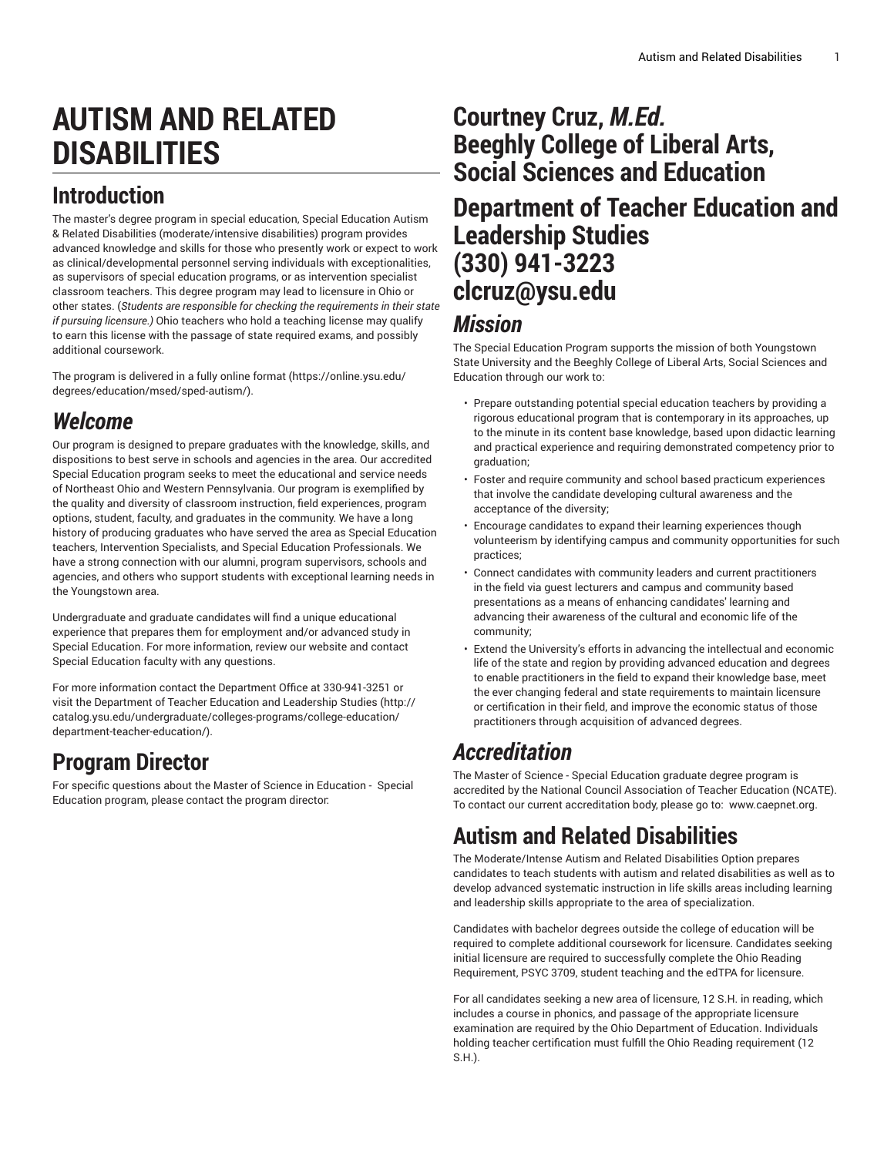# **AUTISM AND RELATED DISABILITIES**

#### **Introduction**

The master's degree program in special education, Special Education Autism & Related Disabilities (moderate/intensive disabilities) program provides advanced knowledge and skills for those who presently work or expect to work as clinical/developmental personnel serving individuals with exceptionalities, as supervisors of special education programs, or as intervention specialist classroom teachers. This degree program may lead to licensure in Ohio or other states. (*Students are responsible for checking the requirements in their state if pursuing licensure.)* Ohio teachers who hold a teaching license may qualify to earn this license with the passage of state required exams, and possibly additional coursework.

The program is delivered in a fully [online format \(https://online.ysu.edu/](https://online.ysu.edu/degrees/education/msed/sped-autism/) [degrees/education/msed/sped-autism/](https://online.ysu.edu/degrees/education/msed/sped-autism/)).

#### *Welcome*

Our program is designed to prepare graduates with the knowledge, skills, and dispositions to best serve in schools and agencies in the area. Our accredited Special Education program seeks to meet the educational and service needs of Northeast Ohio and Western Pennsylvania. Our program is exemplified by the quality and diversity of classroom instruction, field experiences, program options, student, faculty, and graduates in the community. We have a long history of producing graduates who have served the area as Special Education teachers, Intervention Specialists, and Special Education Professionals. We have a strong connection with our alumni, program supervisors, schools and agencies, and others who support students with exceptional learning needs in the Youngstown area.

Undergraduate and graduate candidates will find a unique educational experience that prepares them for employment and/or advanced study in Special Education. For more information, review our website and contact Special Education faculty with any questions.

For more information contact the Department Office at 330-941-3251 or visit the [Department](http://catalog.ysu.edu/undergraduate/colleges-programs/college-education/department-teacher-education/) of Teacher Education and Leadership Studies ([http://](http://catalog.ysu.edu/undergraduate/colleges-programs/college-education/department-teacher-education/) [catalog.ysu.edu/undergraduate/colleges-programs/college-education/](http://catalog.ysu.edu/undergraduate/colleges-programs/college-education/department-teacher-education/) [department-teacher-education/](http://catalog.ysu.edu/undergraduate/colleges-programs/college-education/department-teacher-education/)).

### **Program Director**

For specific questions about the Master of Science in Education - Special Education program, please contact the program director:

## **Courtney Cruz,** *M.Ed.* **Beeghly College of Liberal Arts, Social Sciences and Education Department of Teacher Education and Leadership Studies (330) 941-3223 clcruz@ysu.edu**

#### *Mission*

The Special Education Program supports the mission of both Youngstown State University and the Beeghly College of Liberal Arts, Social Sciences and Education through our work to:

- Prepare outstanding potential special education teachers by providing a rigorous educational program that is contemporary in its approaches, up to the minute in its content base knowledge, based upon didactic learning and practical experience and requiring demonstrated competency prior to graduation;
- Foster and require community and school based practicum experiences that involve the candidate developing cultural awareness and the acceptance of the diversity;
- Encourage candidates to expand their learning experiences though volunteerism by identifying campus and community opportunities for such practices;
- Connect candidates with community leaders and current practitioners in the field via guest lecturers and campus and community based presentations as a means of enhancing candidates' learning and advancing their awareness of the cultural and economic life of the community;
- Extend the University's efforts in advancing the intellectual and economic life of the state and region by providing advanced education and degrees to enable practitioners in the field to expand their knowledge base, meet the ever changing federal and state requirements to maintain licensure or certification in their field, and improve the economic status of those practitioners through acquisition of advanced degrees.

## *Accreditation*

The Master of Science - Special Education graduate degree program is accredited by the National Council Association of Teacher Education (NCATE). To contact our current accreditation body, please go to: www.caepnet.org.

## **Autism and Related Disabilities**

The Moderate/Intense Autism and Related Disabilities Option prepares candidates to teach students with autism and related disabilities as well as to develop advanced systematic instruction in life skills areas including learning and leadership skills appropriate to the area of specialization.

Candidates with bachelor degrees outside the college of education will be required to complete additional coursework for licensure. Candidates seeking initial licensure are required to successfully complete the Ohio Reading Requirement, PSYC 3709, student teaching and the edTPA for licensure.

For all candidates seeking a new area of licensure, 12 S.H. in reading, which includes a course in phonics, and passage of the appropriate licensure examination are required by the Ohio Department of Education. Individuals holding teacher certification must fulfill the Ohio Reading requirement (12 S.H.).